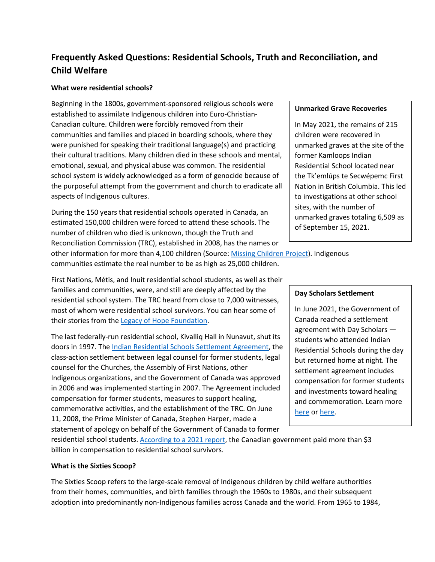# **Frequently Asked Questions: Residential Schools, Truth and Reconciliation, and Child Welfare**

## **What were residential schools?**

Beginning in the 1800s, government-sponsored religious schools were established to assimilate Indigenous children into Euro-Christian-Canadian culture. Children were forcibly removed from their communities and families and placed in boarding schools, where they were punished for speaking their traditional language(s) and practicing their cultural traditions. Many children died in these schools and mental, emotional, sexual, and physical abuse was common. The residential school system is widely acknowledged as a form of genocide because of the purposeful attempt from the government and church to eradicate all aspects of Indigenous cultures.

During the 150 years that residential schools operated in Canada, an estimated 150,000 children were forced to attend these schools. The number of children who died is unknown, though the Truth and Reconciliation Commission (TRC), established in 2008, has the names or

#### **Unmarked Grave Recoveries**

In May 2021, the remains of 215 children were recovered in unmarked graves at the site of the former Kamloops Indian Residential School located near the Tk'emlúps te Secwépemc First Nation in British Columbia. This led to investigations at other school sites, with the number of unmarked graves totaling 6,509 as of September 15, 2021.

other information for more than 4,100 children (Source: [Missing Children Project\)](http://www.trc.ca/events-and-projects/missing-children-project.html). Indigenous communities estimate the real number to be as high as 25,000 children.

First Nations, Métis, and Inuit residential school students, as well as their families and communities, were, and still are deeply affected by the residential school system. The TRC heard from close to 7,000 witnesses, most of whom were residential school survivors. You can hear some of their stories from the [Legacy of Hope Foundation.](https://legacyofhope.ca/wherearethechildren/stories/)

The last federally-run residential school, Kivalliq Hall in Nunavut, shut its doors in 1997. Th[e Indian Residential Schools Settlement Agreement,](https://www.rcaanc-cirnac.gc.ca/eng/1100100015576/1571581687074) the class-action settlement between legal counsel for former students, legal counsel for the Churches, the Assembly of First Nations, other Indigenous organizations, and the Government of Canada was approved in 2006 and was implemented starting in 2007. The Agreement included compensation for former students, measures to support healing, commemorative activities, and the establishment of the TRC. On June 11, 2008, the Prime Minister of Canada, Stephen Harper, made a statement of apology on behalf of the Government of Canada to former

## **Day Scholars Settlement**

In June 2021, the Government of Canada reached a settlement agreement with Day Scholars students who attended Indian Residential Schools during the day but returned home at night. The settlement agreement includes compensation for former students and investments toward healing and commemoration. Learn more [here](https://www.canada.ca/en/crown-indigenous-relations-northern-affairs/news/2021/06/settlement-reached-with-indian-residential-schools-day-scholars.html) or [here.](https://www.irsss.ca/faqs/what-are-day-scholars)

residential school students. [According to a](https://www.cbc.ca/news/indigenous/iap-final-report-residential-schools-1.5946103) 2021 report, the Canadian government paid more than \$3 billion in compensation to residential school survivors.

## **What is the Sixties Scoop?**

The Sixties Scoop refers to the large-scale removal of Indigenous children by child welfare authorities from their homes, communities, and birth families through the 1960s to 1980s, and their subsequent adoption into predominantly non-Indigenous families across Canada and the world. From 1965 to 1984,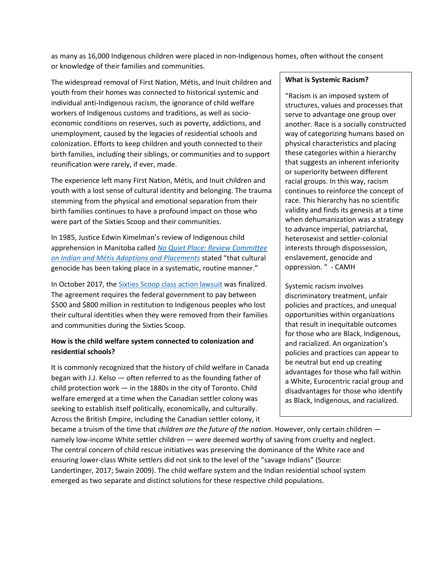as many as 16,000 Indigenous children were placed in non-Indigenous homes, often without the consent or knowledge of their families and communities.

The widespread removal of First Nation, Métis, and Inuit children and youth from their homes was connected to historical systemic and individual anti-Indigenous racism, the ignorance of child welfare workers of Indigenous customs and traditions, as well as socioeconomic conditions on reserves, such as poverty, addictions, and unemployment, caused by the legacies of residential schools and colonization. Efforts to keep children and youth connected to their birth families, including their siblings, or communities and to support reunification were rarely, if ever, made.

The experience left many First Nation, Métis, and Inuit children and youth with a lost sense of cultural identity and belonging. The trauma stemming from the physical and emotional separation from their birth families continues to have a profound impact on those who were part of the Sixties Scoop and their communities.

In 1985, Justice Edwin Kimelman's review of Indigenous child apprehension in Manitoba called *No Quiet [Place: Review Committee](https://fncaringsociety.com/publications/no-quiet-place)  [on Indian and Métis Adoptions and Placements](https://fncaringsociety.com/publications/no-quiet-place)* stated "that cultural genocide has been taking place in a systematic, routine manner."

In October 2017, the **Sixties Scoop [class action lawsuit](https://sixtiesscoopsettlement.info/)** was finalized. The agreement requires the federal government to pay between \$500 and \$800 million in restitution to Indigenous peoples who lost their cultural identities when they were removed from their families and communities during the Sixties Scoop.

## **How is the child welfare system connected to colonization and residential schools?**

It is commonly recognized that the history of child welfare in Canada began with J.J. Kelso — often referred to as the founding father of child protection work — in the 1880s in the city of Toronto. Child welfare emerged at a time when the Canadian settler colony was seeking to establish itself politically, economically, and culturally. Across the British Empire, including the Canadian settler colony, it

# became a truism of the time that *children are the future of the nation*. However, only certain children namely low-income White settler children — were deemed worthy of saving from cruelty and neglect. The central concern of child rescue initiatives was preserving the dominance of the White race and ensuring lower-class White settlers did not sink to the level of the "savage Indians" (Source: Landertinger, 2017; Swain 2009). The child welfare system and the Indian residential school system emerged as two separate and distinct solutions for these respective child populations.

#### **What is Systemic Racism?**

"Racism is an imposed system of structures, values and processes that serve to advantage one group over another. Race is a socially constructed way of categorizing humans based on physical characteristics and placing these categories within a hierarchy that suggests an inherent inferiority or superiority between different racial groups. In this way, racism continues to reinforce the concept of race. This hierarchy has no scientific validity and finds its genesis at a time when dehumanization was a strategy to advance imperial, patriarchal, heterosexist and settler-colonial interests through dispossession, enslavement, genocide and oppression. " - CAMH

Systemic racism involves discriminatory treatment, unfair policies and practices, and unequal opportunities within organizations that result in inequitable outcomes for those who are Black, Indigenous, and racialized. An organization's policies and practices can appear to be neutral but end up creating advantages for those who fall within a White, Eurocentric racial group and disadvantages for those who identify as Black, Indigenous, and racialized.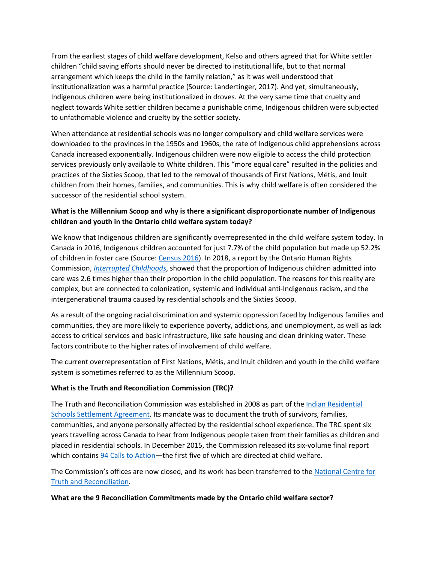From the earliest stages of child welfare development, Kelso and others agreed that for White settler children "child saving efforts should never be directed to institutional life, but to that normal arrangement which keeps the child in the family relation," as it was well understood that institutionalization was a harmful practice (Source: Landertinger, 2017). And yet, simultaneously, Indigenous children were being institutionalized in droves. At the very same time that cruelty and neglect towards White settler children became a punishable crime, Indigenous children were subjected to unfathomable violence and cruelty by the settler society.

When attendance at residential schools was no longer compulsory and child welfare services were downloaded to the provinces in the 1950s and 1960s, the rate of Indigenous child apprehensions across Canada increased exponentially. Indigenous children were now eligible to access the child protection services previously only available to White children. This "more equal care" resulted in the policies and practices of the Sixties Scoop, that led to the removal of thousands of First Nations, Métis, and Inuit children from their homes, families, and communities. This is why child welfare is often considered the successor of the residential school system.

# **What is the Millennium Scoop and why is there a significant disproportionate number of Indigenous children and youth in the Ontario child welfare system today?**

We know that Indigenous children are significantly overrepresented in the child welfare system today. In Canada in 2016, Indigenous children accounted for just 7.7% of the child population but made up 52.2% of children in foster care (Source: [Census 2016\)](https://www.sac-isc.gc.ca/eng/1541187352297/1541187392851). In 2018, a report by the Ontario Human Rights Commission, *[Interrupted Childhoods](http://www3.ohrc.on.ca/sites/default/files/Interrupted%20childhoods_Over-representation%20of%20Indigenous%20and%20Black%20children%20in%20Ontario%20child%20welfare_accessible.pdf)*, showed that the proportion of Indigenous children admitted into care was 2.6 times higher than their proportion in the child population. The reasons for this reality are complex, but are connected to colonization, systemic and individual anti-Indigenous racism, and the intergenerational trauma caused by residential schools and the Sixties Scoop.

As a result of the ongoing racial discrimination and systemic oppression faced by Indigenous families and communities, they are more likely to experience poverty, addictions, and unemployment, as well as lack access to critical services and basic infrastructure, like safe housing and clean drinking water. These factors contribute to the higher rates of involvement of child welfare.

The current overrepresentation of First Nations, Métis, and Inuit children and youth in the child welfare system is sometimes referred to as the Millennium Scoop.

## **What is the Truth and Reconciliation Commission (TRC)?**

The Truth and Reconciliation Commission was established in 2008 as part of the [Indian Residential](https://www.rcaanc-cirnac.gc.ca/eng/1100100015576/1571581687074)  [Schools Settlement Agreement.](https://www.rcaanc-cirnac.gc.ca/eng/1100100015576/1571581687074) Its mandate was to document the truth of survivors, families, communities, and anyone personally affected by the residential school experience. The TRC spent six years travelling across Canada to hear from Indigenous people taken from their families as children and placed in residential schools. In December 2015, the Commission released its six-volume final report which contains [94 Calls to Action—](http://trc.ca/assets/pdf/Calls_to_Action_English2.pdf)the first five of which are directed at child welfare.

The Commission's offices are now closed, and its work has been transferred to the [National Centre for](https://nctr.ca/)  [Truth and Reconciliation.](https://nctr.ca/)

## **What are the 9 Reconciliation Commitments made by the Ontario child welfare sector?**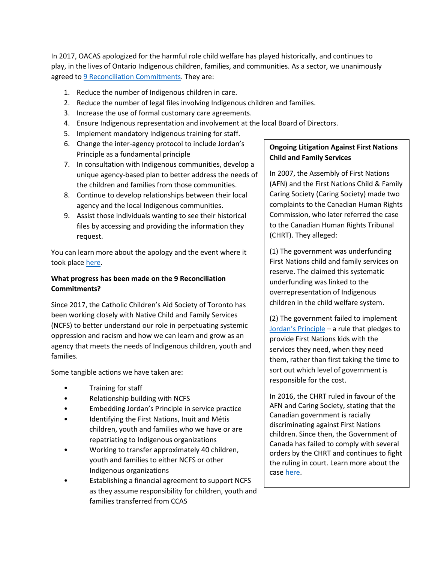In 2017, OACAS apologized for the harmful role child welfare has played historically, and continues to play, in the lives of Ontario Indigenous children, families, and communities. As a sector, we unanimously agreed t[o 9 Reconciliation Commitments.](http://www.oacas.org/wp-content/uploads/2018/01/ocas-apology-poster-email.pdf) They are:

- 1. Reduce the number of Indigenous children in care.
- 2. Reduce the number of legal files involving Indigenous children and families.
- 3. Increase the use of formal customary care agreements.
- 4. Ensure Indigenous representation and involvement at the local Board of Directors.
- 5. Implement mandatory Indigenous training for staff.
- 6. Change the inter-agency protocol to include Jordan's Principle as a fundamental principle
- 7. In consultation with Indigenous communities, develop a unique agency-based plan to better address the needs of the children and families from those communities.
- 8. Continue to develop relationships between their local agency and the local Indigenous communities.
- 9. Assist those individuals wanting to see their historical files by accessing and providing the information they request.

You can learn more about the apology and the event where it took place [here.](http://www.oacas.org/2017/10/child-welfare-apologizes-to-indigenous-families-and-communities/)

# **What progress has been made on the 9 Reconciliation Commitments?**

Since 2017, the Catholic Children's Aid Society of Toronto has been working closely with Native Child and Family Services (NCFS) to better understand our role in perpetuating systemic oppression and racism and how we can learn and grow as an agency that meets the needs of Indigenous children, youth and families.

Some tangible actions we have taken are:

- Training for staff
- Relationship building with NCFS
- Embedding Jordan's Principle in service practice
- Identifying the First Nations, Inuit and Métis children, youth and families who we have or are repatriating to Indigenous organizations
- Working to transfer approximately 40 children, youth and families to either NCFS or other Indigenous organizations
- Establishing a financial agreement to support NCFS as they assume responsibility for children, youth and families transferred from CCAS

# **Ongoing Litigation Against First Nations Child and Family Services**

In 2007, the Assembly of First Nations (AFN) and the First Nations Child & Family Caring Society (Caring Society) made two complaints to the Canadian Human Rights Commission, who later referred the case to the Canadian Human Rights Tribunal (CHRT). They alleged:

(1) The government was underfunding First Nations child and family services on reserve. The claimed this systematic underfunding was linked to the overrepresentation of Indigenous children in the child welfare system.

(2) The government failed to implement [Jordan's Principle](http://www.oacas.org/2021/05/4-myths-about-jordans-principle/) – a rule that pledges to provide First Nations kids with the services they need, when they need them, rather than first taking the time to sort out which level of government is responsible for the cost.

In 2016, the CHRT ruled in favour of the AFN and Caring Society, stating that the Canadian government is racially discriminating against First Nations children. Since then, the Government of Canada has failed to comply with several orders by the CHRT and continues to fight the ruling in court. Learn more about the cas[e here.](https://fncaringsociety.com/i-am-witness-background)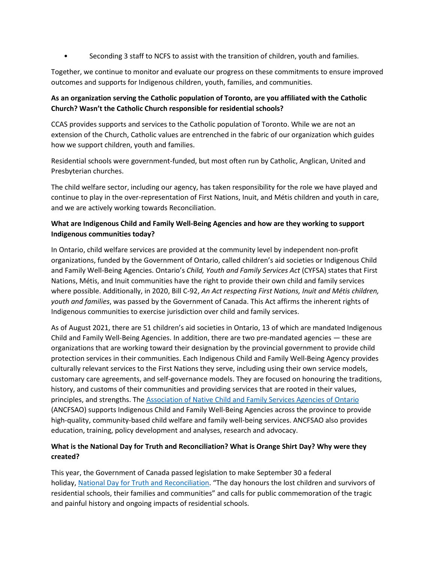• Seconding 3 staff to NCFS to assist with the transition of children, youth and families.

Together, we continue to monitor and evaluate our progress on these commitments to ensure improved outcomes and supports for Indigenous children, youth, families, and communities.

# **As an organization serving the Catholic population of Toronto, are you affiliated with the Catholic Church? Wasn't the Catholic Church responsible for residential schools?**

CCAS provides supports and services to the Catholic population of Toronto. While we are not an extension of the Church, Catholic values are entrenched in the fabric of our organization which guides how we support children, youth and families.

Residential schools were government-funded, but most often run by Catholic, Anglican, United and Presbyterian churches.

The child welfare sector, including our agency, has taken responsibility for the role we have played and continue to play in the over-representation of First Nations, Inuit, and Métis children and youth in care, and we are actively working towards Reconciliation.

# **What are Indigenous Child and Family Well-Being Agencies and how are they working to support Indigenous communities today?**

In Ontario, child welfare services are provided at the community level by independent non-profit organizations, funded by the Government of Ontario, called children's aid societies or Indigenous Child and Family Well-Being Agencies. Ontario's *Child, Youth and Family Services Act* (CYFSA) states that First Nations, Métis, and Inuit communities have the right to provide their own child and family services where possible. Additionally, in 2020, Bill C-92, *An Act respecting First Nations, Inuit and Métis children, youth and families*, was passed by the Government of Canada. This Act affirms the inherent rights of Indigenous communities to exercise jurisdiction over child and family services.

As of August 2021, there are 51 children's aid societies in Ontario, 13 of which are mandated Indigenous Child and Family Well-Being Agencies. In addition, there are two pre-mandated agencies — these are organizations that are working toward their designation by the provincial government to provide child protection services in their communities. Each Indigenous Child and Family Well-Being Agency provides culturally relevant services to the First Nations they serve, including using their own service models, customary care agreements, and self-governance models. They are focused on honouring the traditions, history, and customs of their communities and providing services that are rooted in their values, principles, and strengths. The [Association of Native Child and Family Services Agencies of Ontario](https://ancfsao.ca/) (ANCFSAO) supports Indigenous Child and Family Well-Being Agencies across the province to provide high-quality, community-based child welfare and family well-being services. ANCFSAO also provides education, training, policy development and analyses, research and advocacy.

# **What is the National Day for Truth and Reconciliation? What is Orange Shirt Day? Why were they created?**

This year, the Government of Canada passed legislation to make September 30 a federal holiday, [National Day for Truth and Reconciliation.](https://www.canada.ca/en/canadian-heritage/campaigns/national-day-truth-reconciliation.html) "The day honours the lost children and survivors of residential schools, their families and communities" and calls for public commemoration of the tragic and painful history and ongoing impacts of residential schools.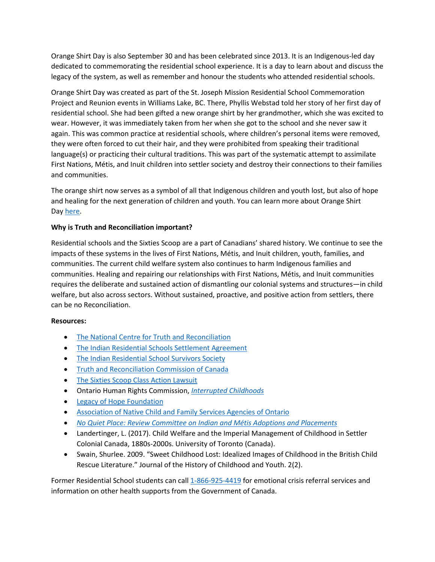Orange Shirt Day is also September 30 and has been celebrated since 2013. It is an Indigenous-led day dedicated to commemorating the residential school experience. It is a day to learn about and discuss the legacy of the system, as well as remember and honour the students who attended residential schools.

Orange Shirt Day was created as part of the St. Joseph Mission Residential School Commemoration Project and Reunion events in Williams Lake, BC. There, Phyllis Webstad told her story of her first day of residential school. She had been gifted a new orange shirt by her grandmother, which she was excited to wear. However, it was immediately taken from her when she got to the school and she never saw it again. This was common practice at residential schools, where children's personal items were removed, they were often forced to cut their hair, and they were prohibited from speaking their traditional language(s) or practicing their cultural traditions. This was part of the systematic attempt to assimilate First Nations, Métis, and Inuit children into settler society and destroy their connections to their families and communities.

The orange shirt now serves as a symbol of all that Indigenous children and youth lost, but also of hope and healing for the next generation of children and youth. You can learn more about Orange Shirt Day [here.](https://www.orangeshirtday.org/about-us.html)

## **Why is Truth and Reconciliation important?**

Residential schools and the Sixties Scoop are a part of Canadians' shared history. We continue to see the impacts of these systems in the lives of First Nations, Métis, and Inuit children, youth, families, and communities. The current child welfare system also continues to harm Indigenous families and communities. Healing and repairing our relationships with First Nations, Métis, and Inuit communities requires the deliberate and sustained action of dismantling our colonial systems and structures—in child welfare, but also across sectors. Without sustained, proactive, and positive action from settlers, there can be no Reconciliation.

## **Resources:**

- [The National Centre for Truth and Reconciliation](https://nctr.ca/)
- The Indian [Residential Schools Settlement Agreement](https://www.rcaanc-cirnac.gc.ca/eng/1100100015576/1571581687074)
- [The Indian Residential School Survivors Society](https://www.irsss.ca/)
- [Truth and Reconciliation Commission of Canada](http://www.trc.ca/)
- [The Sixties Scoop Class Action Lawsuit](https://sixtiesscoopsettlement.info/)
- Ontario Human Rights Commission, *[Interrupted Childhoods](http://www3.ohrc.on.ca/sites/default/files/Interrupted%20childhoods_Over-representation%20of%20Indigenous%20and%20Black%20children%20in%20Ontario%20child%20welfare_accessible.pdf)*
- [Legacy of Hope Foundation](https://legacyofhope.ca/wherearethechildren/stories/)
- [Association of Native Child and Family](https://ancfsao.ca/) Services Agencies of Ontario
- *[No Quiet Place: Review Committee on Indian and Métis Adoptions and Placements](https://fncaringsociety.com/publications/no-quiet-place)*
- Landertinger, L. (2017). Child Welfare and the Imperial Management of Childhood in Settler Colonial Canada, 1880s-2000s. University of Toronto (Canada).
- Swain, Shurlee. 2009. "Sweet Childhood Lost: Idealized Images of Childhood in the British Child Rescue Literature." Journal of the History of Childhood and Youth. 2(2).

Former Residential School students can call [1-866-925-4419](tel:+18669254419) for emotional crisis referral services and information on other health supports from the Government of Canada.